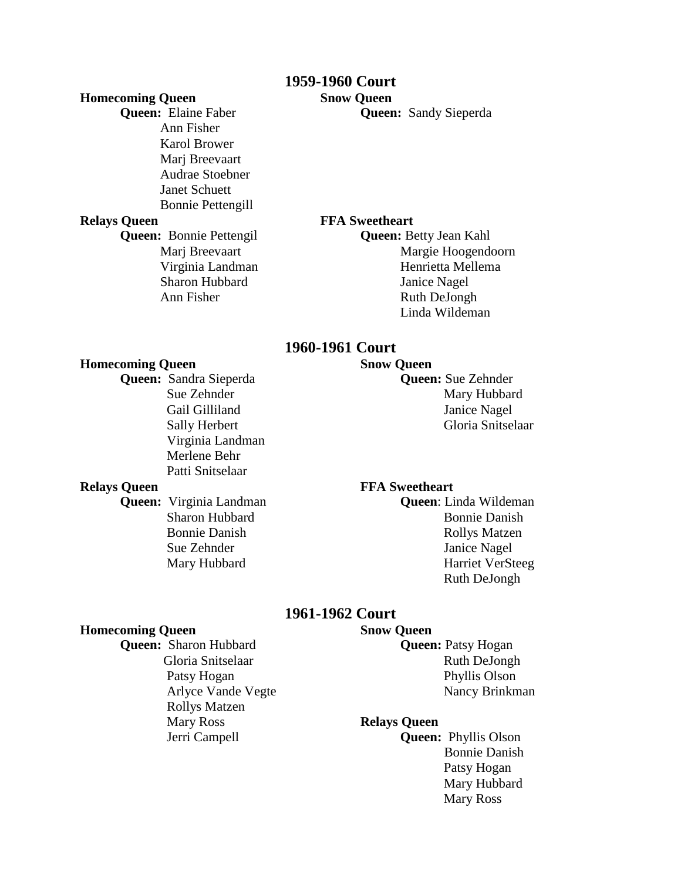# **1959-1960 Court**

## **Homecoming Queen Snow Queen**

Ann Fisher Karol Brower Marj Breevaart Audrae Stoebner Janet Schuett Bonnie Pettengill **Relays Queen** FFA Sweetheart

**Queen:** Elaine Faber **Queen:** Sandy Sieperda

**Queen:** Bonnie Pettengil **Queen:** Betty Jean Kahl Marj Breevaart Margie Hoogendoorn Virginia Landman Henrietta Mellema Sharon Hubbard Janice Nagel Ann Fisher Ruth DeJongh Linda Wildeman

## **1960-1961 Court**

### **Homecoming Queen Snow Queen**

**Queen:** Sandra Sieperda **Queen:** Sue Zehnder Sue Zehnder Mary Hubbard Gail Gilliland Janice Nagel Sally Herbert Gloria Snitselaar Virginia Landman Merlene Behr Patti Snitselaar

### **Relays Queen FFA Sweetheart**

**Queen:** Virginia Landman **Queen**: Linda Wildeman Sharon Hubbard Bonnie Danish Bonnie Danish Rollys Matzen Sue Zehnder Janice Nagel Mary Hubbard Harriet VerSteeg Ruth DeJongh

## **1961-1962 Court**

### **Homecoming Queen Snow Queen**

**Queen:** Sharon Hubbard **Queen:** Patsy Hogan Gloria Snitselaar Ruth DeJongh Patsy Hogan Phyllis Olson Rollys Matzen Mary Ross **Relays Queen**

Arlyce Vande Vegte Nancy Brinkman

 Jerri Campell **Queen:** Phyllis Olson Bonnie Danish Patsy Hogan Mary Hubbard Mary Ross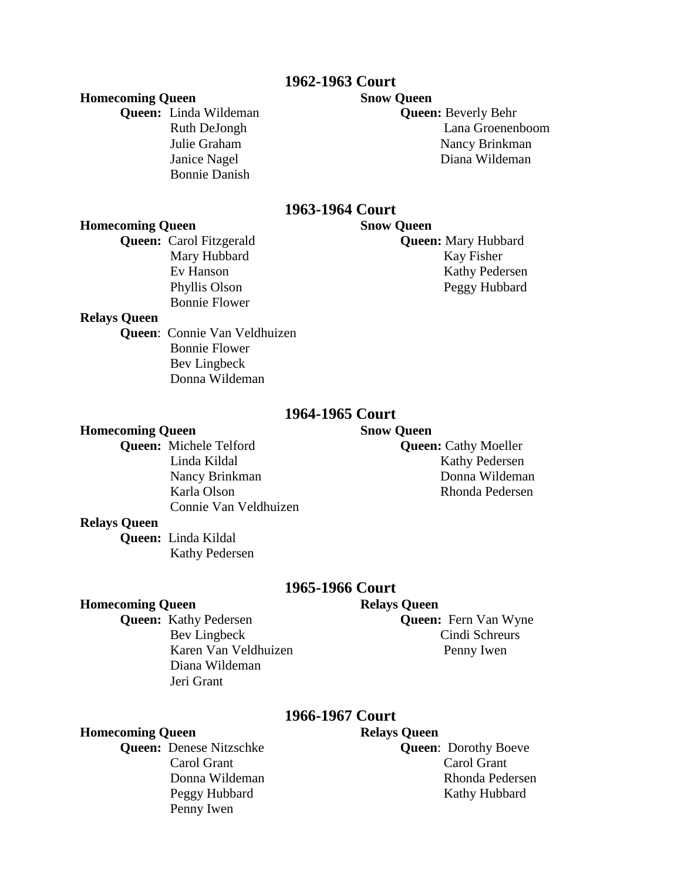# **1962-1963 Court**

### **Homecoming Queen Snow Queen**

**Queen:** Linda Wildeman **Queen:** Beverly Behr Bonnie Danish

 Ruth DeJongh Lana Groenenboom Julie Graham Nancy Brinkman Janice Nagel Diana Wildeman

# **1963-1964 Court**

## **Homecoming Queen Snow Queen**

Bonnie Flower

**Queen:** Carol Fitzgerald **Queen:** Mary Hubbard Mary Hubbard Kay Fisher Ev Hanson Kathy Pedersen Phyllis Olson Peggy Hubbard

## **Relays Queen**

**Queen**: Connie Van Veldhuizen Bonnie Flower Bev Lingbeck Donna Wildeman

## **1964-1965 Court**

### **Homecoming Queen Snow Queen**

**Queen:** Michele Telford **Queen:** Cathy Moeller Connie Van Veldhuizen

Linda Kildal Kathy Pedersen Nancy Brinkman Donna Wildeman Karla Olson Rhonda Pedersen

### **Relays Queen**

**Queen:** Linda Kildal Kathy Pedersen

## **1965-1966 Court**

### **Homecoming Queen Relays Queen**

Karen Van Veldhuizen Penny Iwen Diana Wildeman Jeri Grant

**Queen:** Kathy Pedersen **Queen:** Fern Van Wyne Bev Lingbeck Cindi Schreurs

# **1966-1967 Court**

### **Homecoming Queen Relays Queen**

**Queen:** Denese Nitzschke **Queen**: Dorothy Boeve Carol Grant Carol Grant Carol Grant Penny Iwen

Donna Wildeman Rhonda Pedersen Peggy Hubbard Kathy Hubbard